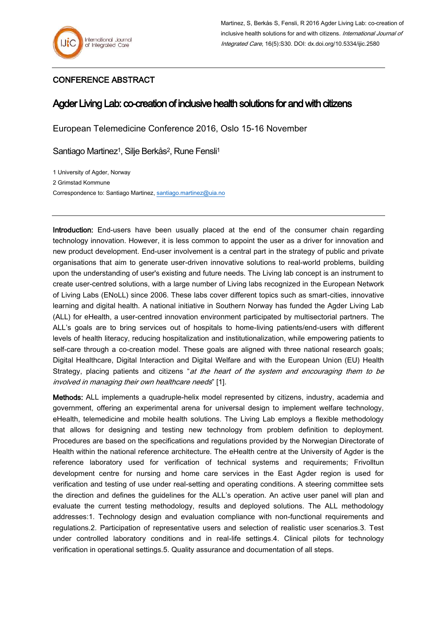## CONFERENCE ABSTRACT

## Agder Living Lab: co-creation of inclusive health solutions for and with citizens

European Telemedicine Conference 2016, Oslo 15-16 November

Santiago Martinez<sup>1</sup>, Silje Berkås<sup>2</sup>, Rune Fensli<sup>1</sup>

1 University of Agder, Norway 2 Grimstad Kommune Correspondence to: Santiago Martinez[, santiago.martinez@uia.no](mailto:santiago.martinez@uia.no)

Introduction: End-users have been usually placed at the end of the consumer chain regarding technology innovation. However, it is less common to appoint the user as a driver for innovation and new product development. End-user involvement is a central part in the strategy of public and private organisations that aim to generate user-driven innovative solutions to real-world problems, building upon the understanding of user's existing and future needs. The Living lab concept is an instrument to create user-centred solutions, with a large number of Living labs recognized in the European Network of Living Labs (ENoLL) since 2006. These labs cover different topics such as smart-cities, innovative learning and digital health. A national initiative in Southern Norway has funded the Agder Living Lab (ALL) for eHealth, a user-centred innovation environment participated by multisectorial partners. The ALL's goals are to bring services out of hospitals to home-living patients/end-users with different levels of health literacy, reducing hospitalization and institutionalization, while empowering patients to self-care through a co-creation model. These goals are aligned with three national research goals; Digital Healthcare, Digital Interaction and Digital Welfare and with the European Union (EU) Health Strategy, placing patients and citizens "at the heart of the system and encouraging them to be involved in managing their own healthcare needs" [1].

Methods: ALL implements a quadruple-helix model represented by citizens, industry, academia and government, offering an experimental arena for universal design to implement welfare technology, eHealth, telemedicine and mobile health solutions. The Living Lab employs a flexible methodology that allows for designing and testing new technology from problem definition to deployment. Procedures are based on the specifications and regulations provided by the Norwegian Directorate of Health within the national reference architecture. The eHealth centre at the University of Agder is the reference laboratory used for verification of technical systems and requirements; Frivolltun development centre for nursing and home care services in the East Agder region is used for verification and testing of use under real-setting and operating conditions. A steering committee sets the direction and defines the guidelines for the ALL's operation. An active user panel will plan and evaluate the current testing methodology, results and deployed solutions. The ALL methodology addresses:
1. Technology design and evaluation compliance with non-functional requirements and regulations.
2. Participation of representative users and selection of realistic user scenarios.
3. Test under controlled laboratory conditions and in real-life settings.
4. Clinical pilots for technology verification in operational settings.
5. Quality assurance and documentation of all steps.